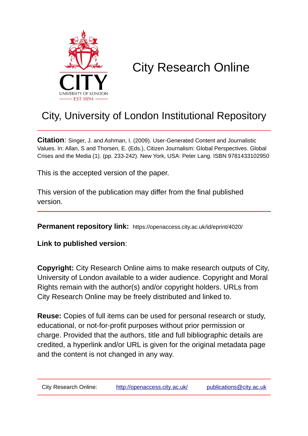

# City Research Online

## City, University of London Institutional Repository

**Citation**: Singer, J. and Ashman, I. (2009). User-Generated Content and Journalistic Values. In: Allan, S and Thorsen, E. (Eds.), Citizen Journalism: Global Perspectives. Global Crises and the Media (1). (pp. 233-242). New York, USA: Peter Lang. ISBN 9781433102950

This is the accepted version of the paper.

This version of the publication may differ from the final published version.

**Permanent repository link:** https://openaccess.city.ac.uk/id/eprint/4020/

**Link to published version**:

**Copyright:** City Research Online aims to make research outputs of City, University of London available to a wider audience. Copyright and Moral Rights remain with the author(s) and/or copyright holders. URLs from City Research Online may be freely distributed and linked to.

**Reuse:** Copies of full items can be used for personal research or study, educational, or not-for-profit purposes without prior permission or charge. Provided that the authors, title and full bibliographic details are credited, a hyperlink and/or URL is given for the original metadata page and the content is not changed in any way.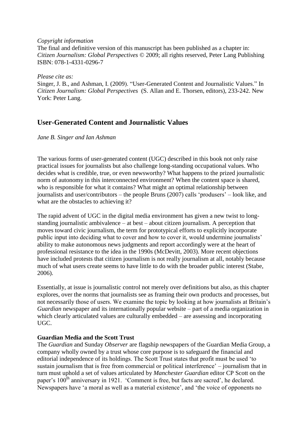#### *Copyright information*

The final and definitive version of this manuscript has been published as a chapter in: *Citizen Journalism: Global Perspectives* © 2009; all rights reserved, Peter Lang Publishing ISBN: 078-1-4331-0296-7

*Please cite as:*

Singer, J. B., and Ashman, I. (2009). "User-Generated Content and Journalistic Values." In *Citizen Journalism: Global Perspectives* (S. Allan and E. Thorsen, editors), 233-242. New York: Peter Lang.

### **User-Generated Content and Journalistic Values**

*Jane B. Singer and Ian Ashman* 

The various forms of user-generated content (UGC) described in this book not only raise practical issues for journalists but also challenge long-standing occupational values. Who decides what is credible, true, or even newsworthy? What happens to the prized journalistic norm of autonomy in this interconnected environment? When the content space is shared, who is responsible for what it contains? What might an optimal relationship between journalists and user/contributors – the people Bruns (2007) calls 'produsers' – look like, and what are the obstacles to achieving it?

The rapid advent of UGC in the digital media environment has given a new twist to longstanding journalistic ambivalence – at best – about citizen journalism. A perception that moves toward civic journalism, the term for prototypical efforts to explicitly incorporate public input into deciding what to cover and how to cover it, would undermine journalists' ability to make autonomous news judgments and report accordingly were at the heart of professional resistance to the idea in the 1990s (McDevitt, 2003). More recent objections have included protests that citizen journalism is not really journalism at all, notably because much of what users create seems to have little to do with the broader public interest (Stabe, 2006).

Essentially, at issue is journalistic control not merely over definitions but also, as this chapter explores, over the norms that journalists see as framing their own products and processes, but not necessarily those of users. We examine the topic by looking at how journalists at Britain's *Guardian* newspaper and its internationally popular website – part of a media organization in which clearly articulated values are culturally embedded – are assessing and incorporating UGC.

#### **Guardian Media and the Scott Trust**

The *Guardian* and Sunday *Observer* are flagship newspapers of the Guardian Media Group, a company wholly owned by a trust whose core purpose is to safeguard the financial and editorial independence of its holdings. The Scott Trust states that profit must be used 'to sustain journalism that is free from commercial or political interference' – journalism that in turn must uphold a set of values articulated by *Manchester Guardian* editor CP Scott on the paper's 100<sup>th</sup> anniversary in 1921. 'Comment is free, but facts are sacred', he declared. Newspapers have 'a moral as well as a material existence', and 'the voice of opponents no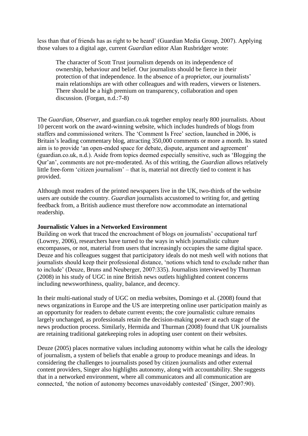less than that of friends has as right to be heard' (Guardian Media Group, 2007). Applying those values to a digital age, current *Guardian* editor Alan Rusbridger wrote:

The character of Scott Trust journalism depends on its independence of ownership, behaviour and belief. Our journalists should be fierce in their protection of that independence. In the absence of a proprietor, our journalists' main relationships are with other colleagues and with readers, viewers or listeners. There should be a high premium on transparency, collaboration and open discussion. (Forgan, n.d.:7-8)

The *Guardian*, *Observer*, and guardian.co.uk together employ nearly 800 journalists. About 10 percent work on the award-winning website, which includes hundreds of blogs from staffers and commissioned writers. The 'Comment Is Free' section, launched in 2006, is Britain's leading commentary blog, attracting 350,000 comments or more a month. Its stated aim is to provide 'an open-ended space for debate, dispute, argument and agreement' (guardian.co.uk, n.d.). Aside from topics deemed especially sensitive, such as 'Blogging the Qur'an', comments are not pre-moderated. As of this writing, the *Guardian* allows relatively little free-form 'citizen journalism' – that is, material not directly tied to content it has provided.

Although most readers of the printed newspapers live in the UK, two-thirds of the website users are outside the country. *Guardian* journalists accustomed to writing for, and getting feedback from, a British audience must therefore now accommodate an international readership.

#### **Journalistic Values in a Networked Environment**

Building on work that traced the encroachment of blogs on journalists' occupational turf (Lowrey, 2006), researchers have turned to the ways in which journalistic culture encompasses, or not, material from users that increasingly occupies the same digital space. Deuze and his colleagues suggest that participatory ideals do not mesh well with notions that journalists should keep their professional distance, 'notions which tend to exclude rather than to include' (Deuze, Bruns and Neuberger, 2007:335). Journalists interviewed by Thurman (2008) in his study of UGC in nine British news outlets highlighted content concerns including newsworthiness, quality, balance, and decency.

In their multi-national study of UGC on media websites, Domingo et al. (2008) found that news organizations in Europe and the US are interpreting online user participation mainly as an opportunity for readers to debate current events; the core journalistic culture remains largely unchanged, as professionals retain the decision-making power at each stage of the news production process. Similarly, Hermida and Thurman (2008) found that UK journalists are retaining traditional gatekeeping roles in adopting user content on their websites.

Deuze (2005) places normative values including autonomy within what he calls the ideology of journalism, a system of beliefs that enable a group to produce meanings and ideas. In considering the challenges to journalists posed by citizen journalists and other external content providers, Singer also highlights autonomy, along with accountability. She suggests that in a networked environment, where all communicators and all communication are connected, 'the notion of autonomy becomes unavoidably contested' (Singer, 2007:90).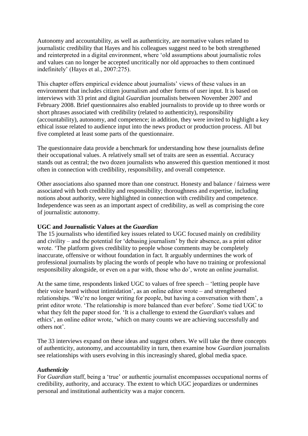Autonomy and accountability, as well as authenticity, are normative values related to journalistic credibility that Hayes and his colleagues suggest need to be both strengthened and reinterpreted in a digital environment, where 'old assumptions about journalistic roles and values can no longer be accepted uncritically nor old approaches to them continued indefinitely' (Hayes et al., 2007:275).

This chapter offers empirical evidence about journalists' views of these values in an environment that includes citizen journalism and other forms of user input. It is based on interviews with 33 print and digital *Guardian* journalists between November 2007 and February 2008. Brief questionnaires also enabled journalists to provide up to three words or short phrases associated with credibility (related to authenticity), responsibility (accountability), autonomy, and competence; in addition, they were invited to highlight a key ethical issue related to audience input into the news product or production process. All but five completed at least some parts of the questionnaire.

The questionnaire data provide a benchmark for understanding how these journalists define their occupational values. A relatively small set of traits are seen as essential. Accuracy stands out as central; the two dozen journalists who answered this question mentioned it most often in connection with credibility, responsibility, and overall competence.

Other associations also spanned more than one construct. Honesty and balance / fairness were associated with both credibility and responsibility; thoroughness and expertise, including notions about authority, were highlighted in connection with credibility and competence. Independence was seen as an important aspect of credibility, as well as comprising the core of journalistic autonomy.

#### **UGC and Journalistic Values at the** *Guardian*

The 15 journalists who identified key issues related to UGC focused mainly on credibility and civility – and the potential for 'debasing journalism' by their absence, as a print editor wrote. 'The platform gives credibility to people whose comments may be completely inaccurate, offensive or without foundation in fact. It arguably undermines the work of professional journalists by placing the words of people who have no training or professional responsibility alongside, or even on a par with, those who do', wrote an online journalist.

At the same time, respondents linked UGC to values of free speech – 'letting people have their voice heard without intimidation', as an online editor wrote – and strengthened relationships. 'We're no longer writing for people, but having a conversation with them', a print editor wrote. 'The relationship is more balanced than ever before'. Some tied UGC to what they felt the paper stood for. 'It is a challenge to extend the *Guardian*'s values and ethics', an online editor wrote, 'which on many counts we are achieving successfully and others not'.

The 33 interviews expand on these ideas and suggest others. We will take the three concepts of authenticity, autonomy, and accountability in turn, then examine how *Guardian* journalists see relationships with users evolving in this increasingly shared, global media space.

#### *Authenticity*

For *Guardian* staff, being a 'true' or authentic journalist encompasses occupational norms of credibility, authority, and accuracy. The extent to which UGC jeopardizes or undermines personal and institutional authenticity was a major concern.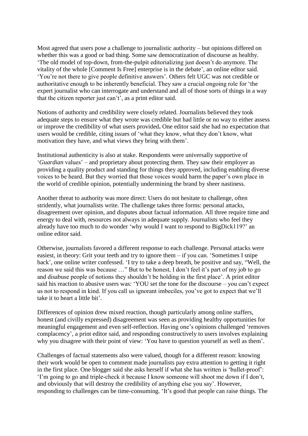Most agreed that users pose a challenge to journalistic authority – but opinions differed on whether this was a good or bad thing. Some saw democratization of discourse as healthy. 'The old model of top-down, from-the-pulpit editorializing just doesn't do anymore. The vitality of the whole [Comment Is Free] enterprise is in the debate', an online editor said. 'You're not there to give people definitive answers'. Others felt UGC was not credible or authoritative enough to be inherently beneficial. They saw a crucial ongoing role for 'the expert journalist who can interrogate and understand and all of those sorts of things in a way that the citizen reporter just can't', as a print editor said.

Notions of authority and credibility were closely related. Journalists believed they took adequate steps to ensure what they wrote was credible but had little or no way to either assess or improve the credibility of what users provided**.** One editor said she had no expectation that users would be credible, citing issues of 'what they know, what they don't know, what motivation they have, and what views they bring with them'.

Institutional authenticity is also at stake. Respondents were universally supportive of '*Guardian* values' – and proprietary about protecting them. They saw their employer as providing a quality product and standing for things they approved, including enabling diverse voices to be heard. But they worried that those voices would harm the paper's own place in the world of credible opinion, potentially undermining the brand by sheer nastiness.

Another threat to authority was more direct: Users do not hesitate to challenge, often stridently, what journalists write. The challenge takes three forms: personal attacks, disagreement over opinion, and disputes about factual information. All three require time and energy to deal with, resources not always in adequate supply. Journalists who feel they already have too much to do wonder 'why would I want to respond to BigDick119?' an online editor said.

Otherwise, journalists favored a different response to each challenge. Personal attacks were easiest, in theory: Grit your teeth and try to ignore them – if you can. 'Sometimes I snipe back', one online writer confessed. 'I try to take a deep breath, be positive and say, "Well, the reason we said this was because …" But to be honest, I don't feel it's part of my job to go and disabuse people of notions they shouldn't be holding in the first place'. A print editor said his reaction to abusive users was: 'YOU set the tone for the discourse – you can't expect us not to respond in kind. If you call us ignorant imbeciles, you've got to expect that we'll take it to heart a little bit'.

Differences of opinion drew mixed reaction, though particularly among online staffers, honest (and civilly expressed) disagreement was seen as providing healthy opportunities for meaningful engagement and even self-reflection. Having one's opinions challenged 'removes complacency', a print editor said, and responding constructively to users involves explaining why you disagree with their point of view: 'You have to question yourself as well as them'.

Challenges of factual statements also were valued, though for a different reason: knowing their work would be open to comment made journalists pay extra attention to getting it right in the first place. One blogger said she asks herself if what she has written is 'bullet-proof': 'I'm going to go and triple-check it because I know someone will shoot me down if I don't, and obviously that will destroy the credibility of anything else you say'. However, responding to challenges can be time-consuming. 'It's good that people can raise things. The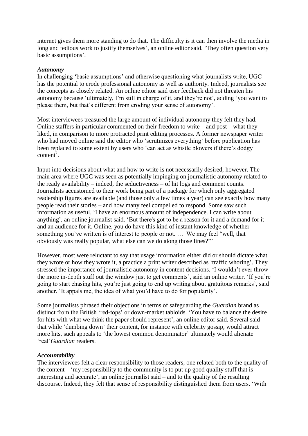internet gives them more standing to do that. The difficulty is it can then involve the media in long and tedious work to justify themselves', an online editor said. 'They often question very basic assumptions'.

#### *Autonomy*

In challenging 'basic assumptions' and otherwise questioning what journalists write, UGC has the potential to erode professional autonomy as well as authority. Indeed, journalists see the concepts as closely related. An online editor said user feedback did not threaten his autonomy because 'ultimately, I'm still in charge of it, and they're not', adding 'you want to please them, but that's different from eroding your sense of autonomy'.

Most interviewees treasured the large amount of individual autonomy they felt they had. Online staffers in particular commented on their freedom to write – and post – what they liked, in comparison to more protracted print editing processes. A former newspaper writer who had moved online said the editor who 'scrutinizes everything' before publication has been replaced to some extent by users who 'can act as whistle blowers if there's dodgy content'.

Input into decisions about what and how to write is not necessarily desired, however. The main area where UGC was seen as potentially impinging on journalistic autonomy related to the ready availability – indeed, the seductiveness – of hit logs and comment counts. Journalists accustomed to their work being part of a package for which only aggregated readership figures are available (and those only a few times a year) can see exactly how many people read their stories – and how many feel compelled to respond. Some saw such information as useful. 'I have an enormous amount of independence. I can write about anything', an online journalist said. 'But there's got to be a reason for it and a demand for it and an audience for it. Online, you do have this kind of instant knowledge of whether something you've written is of interest to people or not. … We may feel "well, that obviously was really popular, what else can we do along those lines?"'

However, most were reluctant to say that usage information either did or should dictate what they wrote or how they wrote it, a practice a print writer described as 'traffic whoring'. They stressed the importance of journalistic autonomy in content decisions. 'I wouldn't ever throw the more in-depth stuff out the window just to get comments', said an online writer. 'If you're going to start chasing hits, you're just going to end up writing about gratuitous remarks', said another. 'It appals me, the idea of what you'd have to do for popularity'.

Some journalists phrased their objections in terms of safeguarding the *Guardian* brand as distinct from the British 'red-tops' or down-market tabloids. 'You have to balance the desire for hits with what we think the paper should represent', an online editor said. Several said that while 'dumbing down' their content, for instance with celebrity gossip, would attract more hits, such appeals to 'the lowest common denominator' ultimately would alienate 'real'*Guardian* readers.

#### *Accountability*

The interviewees felt a clear responsibility to those readers, one related both to the quality of the content – 'my responsibility to the community is to put up good quality stuff that is interesting and accurate', an online journalist said – and to the quality of the resulting discourse. Indeed, they felt that sense of responsibility distinguished them from users. 'With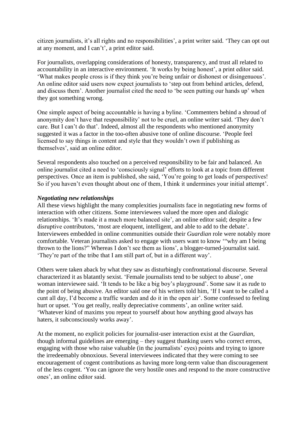citizen journalists, it's all rights and no responsibilities', a print writer said. 'They can opt out at any moment, and I can't', a print editor said.

For journalists, overlapping considerations of honesty, transparency, and trust all related to accountability in an interactive environment. 'It works by being honest', a print editor said. 'What makes people cross is if they think you're being unfair or dishonest or disingenuous'. An online editor said users now expect journalists to 'step out from behind articles, defend, and discuss them'. Another journalist cited the need to 'be seen putting our hands up' when they got something wrong.

One simple aspect of being accountable is having a byline. 'Commenters behind a shroud of anonymity don't have that responsibility' not to be cruel, an online writer said. 'They don't care. But I can't do that'. Indeed, almost all the respondents who mentioned anonymity suggested it was a factor in the too-often abusive tone of online discourse. 'People feel licensed to say things in content and style that they wouldn't own if publishing as themselves', said an online editor.

Several respondents also touched on a perceived responsibility to be fair and balanced. An online journalist cited a need to 'consciously signal' efforts to look at a topic from different perspectives. Once an item is published, she said, 'You're going to get loads of perspectives! So if you haven't even thought about one of them, I think it undermines your initial attempt'.

#### *Negotiating new relationships*

All these views highlight the many complexities journalists face in negotiating new forms of interaction with other citizens. Some interviewees valued the more open and dialogic relationships. 'It's made it a much more balanced site', an online editor said; despite a few disruptive contributors, 'most are eloquent, intelligent, and able to add to the debate'. Interviewees embedded in online communities outside their *Guardian* role were notably more comfortable. Veteran journalists asked to engage with users want to know '"why am I being thrown to the lions?" Whereas I don't see them as lions', a blogger-turned-journalist said. 'They're part of the tribe that I am still part of, but in a different way'.

Others were taken aback by what they saw as disturbingly confrontational discourse. Several characterized it as blatantly sexist. 'Female journalists tend to be subject to abuse', one woman interviewee said. 'It tends to be like a big boy's playground'. Some saw it as rude to the point of being abusive. An editor said one of his writers told him, 'If I want to be called a cunt all day, I'd become a traffic warden and do it in the open air'. Some confessed to feeling hurt or upset. 'You get really, really depreciative comments', an online writer said. 'Whatever kind of maxims you repeat to yourself about how anything good always has haters, it subconsciously works away'.

At the moment, no explicit policies for journalist-user interaction exist at the *Guardian*, though informal guidelines are emerging – they suggest thanking users who correct errors, engaging with those who raise valuable (in the journalists' eyes) points and trying to ignore the irredeemably obnoxious. Several interviewees indicated that they were coming to see encouragement of cogent contributions as having more long-term value than discouragement of the less cogent. 'You can ignore the very hostile ones and respond to the more constructive ones', an online editor said.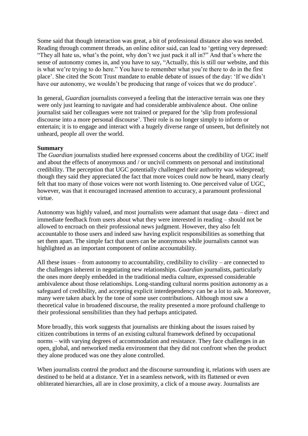Some said that though interaction was great, a bit of professional distance also was needed. Reading through comment threads, an online editor said, can lead to 'getting very depressed: "They all hate us, what's the point, why don't we just pack it all in?" And that's where the sense of autonomy comes in, and you have to say, "Actually, this is still our website, and this is what we're trying to do here." You have to remember what you're there to do in the first place'. She cited the Scott Trust mandate to enable debate of issues of the day: 'If we didn't have our autonomy, we wouldn't be producing that range of voices that we do produce'.

In general, *Guardian* journalists conveyed a feeling that the interactive terrain was one they were only just learning to navigate and had considerable ambivalence about. One online journalist said her colleagues were not trained or prepared for the 'slip from professional discourse into a more personal discourse'. Their role is no longer simply to inform or entertain; it is to engage and interact with a hugely diverse range of unseen, but definitely not unheard, people all over the world.

#### **Summary**

The *Guardian* journalists studied here expressed concerns about the credibility of UGC itself and about the effects of anonymous and / or uncivil comments on personal and institutional credibility. The perception that UGC potentially challenged their authority was widespread; though they said they appreciated the fact that more voices could now be heard, many clearly felt that too many of those voices were not worth listening to. One perceived value of UGC, however, was that it encouraged increased attention to accuracy, a paramount professional virtue.

Autonomy was highly valued, and most journalists were adamant that usage data – direct and immediate feedback from users about what they were interested in reading – should not be allowed to encroach on their professional news judgment. However, they also felt accountable to those users and indeed saw having explicit responsibilities as something that set them apart. The simple fact that users can be anonymous while journalists cannot was highlighted as an important component of online accountability.

All these issues – from autonomy to accountability, credibility to civility – are connected to the challenges inherent in negotiating new relationships. *Guardian* journalists, particularly the ones more deeply embedded in the traditional media culture, expressed considerable ambivalence about those relationships. Long-standing cultural norms position autonomy as a safeguard of credibility, and accepting explicit interdependency can be a lot to ask. Moreover, many were taken aback by the tone of some user contributions. Although most saw a theoretical value in broadened discourse, the reality presented a more profound challenge to their professional sensibilities than they had perhaps anticipated.

More broadly, this work suggests that journalists are thinking about the issues raised by citizen contributions in terms of an existing cultural framework defined by occupational norms – with varying degrees of accommodation and resistance. They face challenges in an open, global, and networked media environment that they did not confront when the product they alone produced was one they alone controlled.

When journalists control the product and the discourse surrounding it, relations with users are destined to be held at a distance. Yet in a seamless network, with its flattened or even obliterated hierarchies, all are in close proximity, a click of a mouse away. Journalists are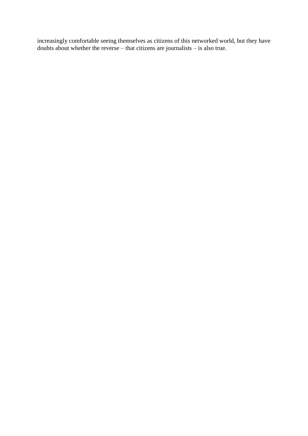increasingly comfortable seeing themselves as citizens of this networked world, but they have doubts about whether the reverse – that citizens are journalists – is also true.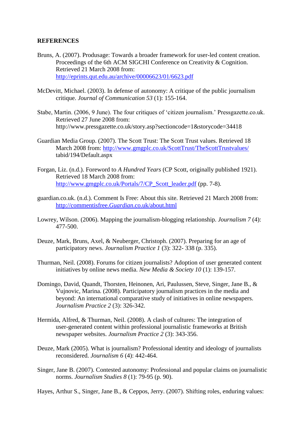#### **REFERENCES**

- Bruns, A. (2007). Produsage: Towards a broader framework for user-led content creation. Proceedings of the 6th ACM SIGCHI Conference on Creativity & Cognition. Retrieved 21 March 2008 from: <http://eprints.qut.edu.au/archive/00006623/01/6623.pdf>
- McDevitt, Michael. (2003). In defense of autonomy: A critique of the public journalism critique. *Journal of Communication 53* (1): 155-164.
- Stabe, Martin. (2006, 9 June). The four critiques of 'citizen journalism.' Pressgazette.co.uk. Retrieved 27 June 2008 from: http://www.pressgazette.co.uk/story.asp?sectioncode=1&storycode=34418
- Guardian Media Group. (2007). The Scott Trust: The Scott Trust values. Retrieved 18 March 2008 from:<http://www.gmgplc.co.uk/ScottTrust/TheScottTrustvalues/> tabid/194/Default.aspx
- Forgan, Liz. (n.d.). Foreword to *A Hundred Years* (CP Scott, originally published 1921). Retrieved 18 March 2008 from: [http://www.gmgplc.co.uk/Portals/7/CP\\_Scott\\_leader.pdf](http://www.gmgplc.co.uk/Portals/7/CP_Scott_leader.pdf) (pp. 7-8).
- guardian.co.uk. (n.d.). Comment Is Free: About this site. Retrieved 21 March 2008 from: [http://commentisfree.](http://commentisfree.guardian.co.uk/about.html)*Guardian*.co.uk/about.html
- Lowrey, Wilson. (2006). Mapping the journalism-blogging relationship. *Journalism 7* (4): 477-500.
- Deuze, Mark, Bruns, Axel, & Neuberger, Christoph. (2007). Preparing for an age of participatory news. *Journalism Practice 1* (3): 322- 338 (p. 335).
- Thurman, Neil. (2008). Forums for citizen journalists? Adoption of user generated content initiatives by online news media. *New Media & Society 10* (1): 139-157.
- Domingo, David, Quandt, Thorsten, Heinonen, Ari, Paulussen, Steve, Singer, Jane B., & Vujnovic, Marina. (2008). Participatory journalism practices in the media and beyond: An international comparative study of initiatives in online newspapers. *Journalism Practice 2* (3): 326-342.
- Hermida, Alfred, & Thurman, Neil. (2008). A clash of cultures: The integration of user-generated content within professional journalistic frameworks at British newspaper websites. *Journalism Practice 2* (3): 343-356.
- Deuze, Mark (2005). What is journalism? Professional identity and ideology of journalists reconsidered. *Journalism 6* (4): 442-464.
- Singer, Jane B. (2007). Contested autonomy: Professional and popular claims on journalistic norms. *Journalism Studies 8* (1): 79-95 (p. 90).

Hayes, Arthur S., Singer, Jane B., & Ceppos, Jerry. (2007). Shifting roles, enduring values: